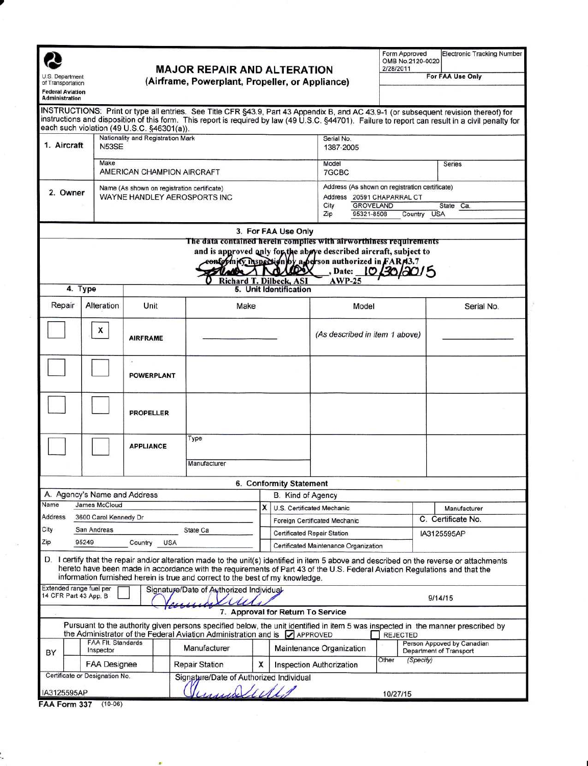| U.S. Department<br>of Transportation<br><b>Federal Aviation</b><br><b>Administration</b> |                                                           |                                                                                         | <b>MAJOR REPAIR AND ALTERATION</b><br>(Airframe, Powerplant, Propeller, or Appliance)                                                                                                                                                                                                                                                                    |                               |                                                                             | Form Approved<br>OMB No.2120-0020<br>2/28/2011                                                                                                                                                                               |                                | <b>Electronic Tracking Number</b><br>For FAA Use Only                      |                                                                                                                                                                                                                                                                                           |  |
|------------------------------------------------------------------------------------------|-----------------------------------------------------------|-----------------------------------------------------------------------------------------|----------------------------------------------------------------------------------------------------------------------------------------------------------------------------------------------------------------------------------------------------------------------------------------------------------------------------------------------------------|-------------------------------|-----------------------------------------------------------------------------|------------------------------------------------------------------------------------------------------------------------------------------------------------------------------------------------------------------------------|--------------------------------|----------------------------------------------------------------------------|-------------------------------------------------------------------------------------------------------------------------------------------------------------------------------------------------------------------------------------------------------------------------------------------|--|
|                                                                                          |                                                           | each such violation (49 U.S.C. §46301(a)).                                              |                                                                                                                                                                                                                                                                                                                                                          |                               |                                                                             |                                                                                                                                                                                                                              |                                |                                                                            | INSTRUCTIONS: Print or type all entries. See Title CFR §43.9, Part 43 Appendix B, and AC 43.9-1 (or subsequent revision thereof) for<br>instructions and disposition of this form. This report is required by law (49 U.S.C. §44701). Failure to report can result in a civil penalty for |  |
| 1. Aircraft                                                                              |                                                           | Nationality and Registration Mark<br><b>N53SF</b><br>Make<br>AMERICAN CHAMPION AIRCRAFT |                                                                                                                                                                                                                                                                                                                                                          |                               |                                                                             | Serial No.<br>1387-2005                                                                                                                                                                                                      |                                |                                                                            |                                                                                                                                                                                                                                                                                           |  |
|                                                                                          |                                                           |                                                                                         |                                                                                                                                                                                                                                                                                                                                                          |                               |                                                                             | Model<br>7GCBC                                                                                                                                                                                                               |                                |                                                                            | Series                                                                                                                                                                                                                                                                                    |  |
| Name (As shown on registration certificate)<br>2. Owner<br>WAYNE HANDLEY AEROSPORTS INC  |                                                           |                                                                                         |                                                                                                                                                                                                                                                                                                                                                          |                               | Address 20591 CHAPARRAL CT<br>City<br><b>GROVELAND</b><br>95321-8508<br>Zip |                                                                                                                                                                                                                              |                                | Address (As shown on registration certificate)<br>State Ca.<br>Country USA |                                                                                                                                                                                                                                                                                           |  |
|                                                                                          | 4. Type                                                   |                                                                                         | Richard T. Dilbeck, ASI                                                                                                                                                                                                                                                                                                                                  | $\Lambda$ Mo                  | 3. For FAA Use Only<br>1000<br>5. Unit Identification                       | The data contained herein complies with airworthiness requirements<br>and is approved only for the above described aircraft, subject to<br>eonformicy inspection by a berson authorized in FAR13.7<br>, Date: 10<br>$AWP-25$ |                                |                                                                            |                                                                                                                                                                                                                                                                                           |  |
| Repair                                                                                   | Alteration                                                | Unit                                                                                    | Make                                                                                                                                                                                                                                                                                                                                                     |                               |                                                                             |                                                                                                                                                                                                                              | Model                          |                                                                            | Serial No.                                                                                                                                                                                                                                                                                |  |
|                                                                                          | x<br><b>AIRFRAME</b>                                      |                                                                                         |                                                                                                                                                                                                                                                                                                                                                          |                               |                                                                             |                                                                                                                                                                                                                              | (As described in item 1 above) |                                                                            |                                                                                                                                                                                                                                                                                           |  |
|                                                                                          |                                                           | ۰.<br><b>POWERPLANT</b>                                                                 |                                                                                                                                                                                                                                                                                                                                                          |                               |                                                                             |                                                                                                                                                                                                                              |                                |                                                                            |                                                                                                                                                                                                                                                                                           |  |
|                                                                                          |                                                           | <b>PROPELLER</b>                                                                        |                                                                                                                                                                                                                                                                                                                                                          |                               |                                                                             |                                                                                                                                                                                                                              |                                |                                                                            |                                                                                                                                                                                                                                                                                           |  |
|                                                                                          | <b>APPLIANCE</b>                                          |                                                                                         | Type                                                                                                                                                                                                                                                                                                                                                     |                               |                                                                             |                                                                                                                                                                                                                              |                                |                                                                            |                                                                                                                                                                                                                                                                                           |  |
|                                                                                          |                                                           |                                                                                         | Manufacturer                                                                                                                                                                                                                                                                                                                                             |                               |                                                                             |                                                                                                                                                                                                                              |                                |                                                                            |                                                                                                                                                                                                                                                                                           |  |
|                                                                                          |                                                           |                                                                                         |                                                                                                                                                                                                                                                                                                                                                          |                               | 6. Conformity Statement                                                     |                                                                                                                                                                                                                              |                                |                                                                            |                                                                                                                                                                                                                                                                                           |  |
|                                                                                          | A. Agency's Name and Address                              |                                                                                         |                                                                                                                                                                                                                                                                                                                                                          |                               |                                                                             | B. Kind of Agency                                                                                                                                                                                                            |                                |                                                                            |                                                                                                                                                                                                                                                                                           |  |
| James McCloud<br>Name                                                                    |                                                           |                                                                                         |                                                                                                                                                                                                                                                                                                                                                          |                               | X                                                                           | U.S. Certificated Mechanic                                                                                                                                                                                                   |                                |                                                                            | Manufacturer                                                                                                                                                                                                                                                                              |  |
| Address<br>City                                                                          | 3600 Carol Kennedy Dr                                     |                                                                                         |                                                                                                                                                                                                                                                                                                                                                          | Foreign Certificated Mechanic |                                                                             |                                                                                                                                                                                                                              | C. Certificate No.             |                                                                            |                                                                                                                                                                                                                                                                                           |  |
| Zip                                                                                      | San Andreas<br>State Ca<br>95249<br><b>USA</b><br>Country |                                                                                         |                                                                                                                                                                                                                                                                                                                                                          |                               | Certificated Repair Station<br>Certificated Maintenance Organization        |                                                                                                                                                                                                                              |                                | IA3125595AP                                                                |                                                                                                                                                                                                                                                                                           |  |
|                                                                                          |                                                           |                                                                                         | D. I certify that the repair and/or alteration made to the unit(s) identified in item 5 above and described on the reverse or attachments<br>hereto have been made in accordance with the requirements of Part 43 of the U.S. Federal Aviation Regulations and that the<br>information furnished herein is true and correct to the best of my knowledge. |                               |                                                                             |                                                                                                                                                                                                                              |                                |                                                                            |                                                                                                                                                                                                                                                                                           |  |
| Extended range fuel per<br>14 CFR Part 43 App. B                                         |                                                           |                                                                                         | Signature/Date of Authorized Individual                                                                                                                                                                                                                                                                                                                  |                               |                                                                             |                                                                                                                                                                                                                              |                                |                                                                            | 9/14/15                                                                                                                                                                                                                                                                                   |  |
|                                                                                          |                                                           |                                                                                         |                                                                                                                                                                                                                                                                                                                                                          |                               |                                                                             | 7. Approval for Return To Service                                                                                                                                                                                            |                                |                                                                            |                                                                                                                                                                                                                                                                                           |  |
|                                                                                          |                                                           |                                                                                         | Pursuant to the authority given persons specified below, the unit identified in item 5 was inspected in the manner prescribed by<br>the Administrator of the Federal Aviation Administration and is $\Box$ APPROVED                                                                                                                                      |                               |                                                                             |                                                                                                                                                                                                                              | <b>REJECTED</b>                |                                                                            |                                                                                                                                                                                                                                                                                           |  |
| BY                                                                                       | <b>FAA FIt. Standards</b><br>Inspector                    |                                                                                         | Manufacturer                                                                                                                                                                                                                                                                                                                                             |                               |                                                                             | Maintenance Organization                                                                                                                                                                                                     |                                |                                                                            | Person Appoved by Canadian<br>Department of Transport                                                                                                                                                                                                                                     |  |
|                                                                                          | <b>FAA Designee</b>                                       |                                                                                         | <b>Repair Station</b>                                                                                                                                                                                                                                                                                                                                    | X                             |                                                                             | <b>Inspection Authorization</b>                                                                                                                                                                                              | Other                          | (Specify)                                                                  |                                                                                                                                                                                                                                                                                           |  |
| IA3125595AP                                                                              | Certificate or Designation No.                            |                                                                                         | Signature/Date of Authorized Individual<br>Juniolide                                                                                                                                                                                                                                                                                                     |                               |                                                                             |                                                                                                                                                                                                                              | 10/27/15                       |                                                                            |                                                                                                                                                                                                                                                                                           |  |
|                                                                                          | <b>FAA Form 337 (10-06)</b>                               |                                                                                         |                                                                                                                                                                                                                                                                                                                                                          |                               |                                                                             |                                                                                                                                                                                                                              |                                |                                                                            |                                                                                                                                                                                                                                                                                           |  |

| FAA Form 337 | $(10-06)$ |
|--------------|-----------|
|              |           |